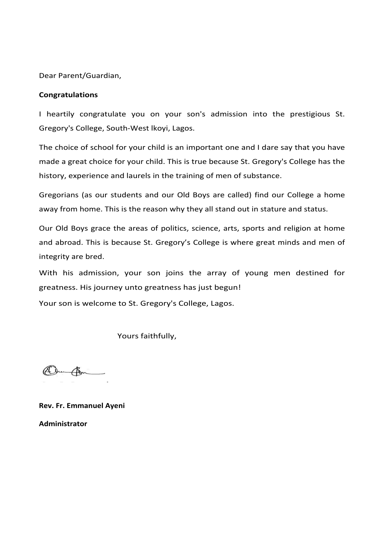Dear Parent/Guardian,

### **Congratulations**

I heartily congratulate you on your son's admission into the prestigious St. Gregory's College, South-West lkoyi, Lagos.

The choice of school for your child is an important one and I dare say that you have made a great choice for your child. This is true because St. Gregory's College has the history, experience and laurels in the training of men of substance.

Gregorians (as our students and our Old Boys are called) find our College a home away from home. This is the reason why they all stand out in stature and status.

Our Old Boys grace the areas of politics, science, arts, sports and religion at home and abroad. This is because St. Gregory's College is where great minds and men of integrity are bred.

With his admission, your son joins the array of young men destined for greatness. His journey unto greatness has just begun!

Your son is welcome to St. Gregory's College, Lagos.

Yours faithfully,

Dun Com

**Rev. Fr. Emmanuel Ayeni Administrator**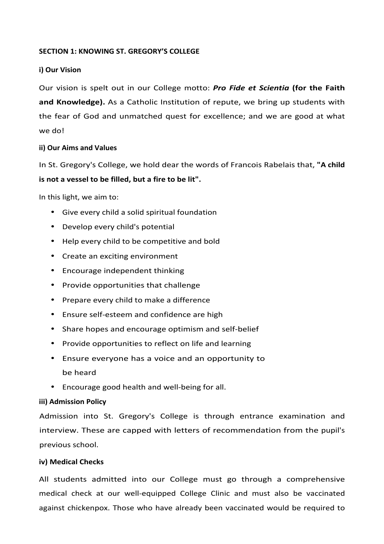# **SECTION 1: KNOWING ST. GREGORY'S COLLEGE**

# **i) Our Vision**

Our vision is spelt out in our College motto: **Pro Fide et Scientia (for the Faith** and Knowledge). As a Catholic Institution of repute, we bring up students with the fear of God and unmatched quest for excellence; and we are good at what we do!

### **ii) Our Aims and Values**

In St. Gregory's College, we hold dear the words of Francois Rabelais that, "A child **is not a vessel to be filled, but a fire to be lit".** 

In this light, we aim to:

- Give every child a solid spiritual foundation
- Develop every child's potential
- Help every child to be competitive and bold
- Create an exciting environment
- Encourage independent thinking
- Provide opportunities that challenge
- Prepare every child to make a difference
- Ensure self-esteem and confidence are high
- Share hopes and encourage optimism and self-belief
- Provide opportunities to reflect on life and learning
- Ensure everyone has a voice and an opportunity to be heard
- Encourage good health and well-being for all.

# **iii) Admission Policy**

Admission into St. Gregory's College is through entrance examination and interview. These are capped with letters of recommendation from the pupil's previous school.

### **iv) Medical Checks**

All students admitted into our College must go through a comprehensive medical check at our well-equipped College Clinic and must also be vaccinated against chickenpox. Those who have already been vaccinated would be required to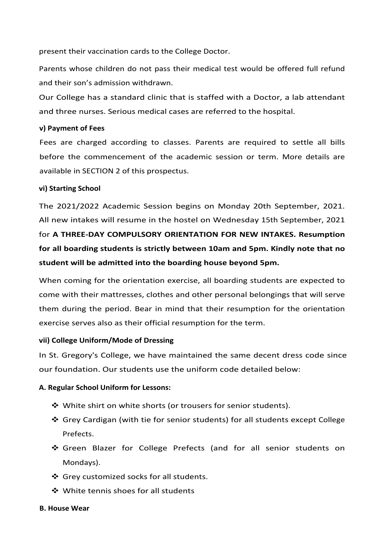present their vaccination cards to the College Doctor.

Parents whose children do not pass their medical test would be offered full refund and their son's admission withdrawn.

Our College has a standard clinic that is staffed with a Doctor, a lab attendant and three nurses. Serious medical cases are referred to the hospital.

# **v) Payment of Fees**

Fees are charged according to classes. Parents are required to settle all bills before the commencement of the academic session or term. More details are available in SECTION 2 of this prospectus.

# **vi) Starting School**

The 2021/2022 Academic Session begins on Monday 20th September, 2021. All new intakes will resume in the hostel on Wednesday 15th September, 2021 for A THREE-DAY COMPULSORY ORIENTATION FOR NEW INTAKES. Resumption for all boarding students is strictly between 10am and 5pm. Kindly note that no student will be admitted into the boarding house beyond 5pm.

When coming for the orientation exercise, all boarding students are expected to come with their mattresses, clothes and other personal belongings that will serve them during the period. Bear in mind that their resumption for the orientation exercise serves also as their official resumption for the term.

### **vii) College Uniform/Mode of Dressing**

In St. Gregory's College, we have maintained the same decent dress code since our foundation. Our students use the uniform code detailed below:

# **A. Regular School Uniform for Lessons:**

- $\clubsuit$  White shirt on white shorts (or trousers for senior students).
- ❖ Grey Cardigan (with tie for senior students) for all students except College Prefects.
- ❖ Green Blazer for College Prefects (and for all senior students on Mondays).
- ❖ Grey customized socks for all students.
- ❖ White tennis shoes for all students

### **B. House Wear**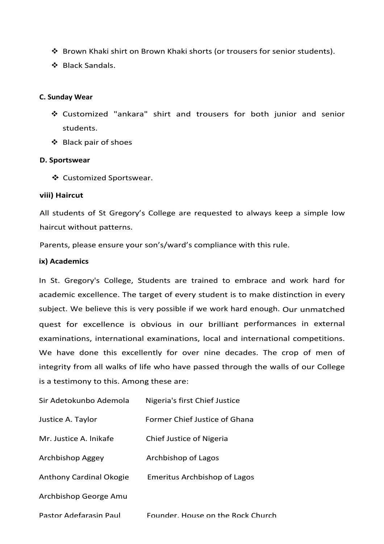- ❖ Brown Khaki shirt on Brown Khaki shorts (or trousers for senior students).
- ❖ Black Sandals.

### **C. Sunday Wear**

- ❖ Customized "ankara" shirt and trousers for both junior and senior students.
- ❖ Black pair of shoes

### **D. Sportswear**

❖ Customized Sportswear.

### **viii) Haircut**

All students of St Gregory's College are requested to always keep a simple low haircut without patterns.

Parents, please ensure your son's/ward's compliance with this rule.

### **ix) Academics**

In St. Gregory's College, Students are trained to embrace and work hard for academic excellence. The target of every student is to make distinction in every subject. We believe this is very possible if we work hard enough. Our unmatched quest for excellence is obvious in our brilliant performances in external examinations, international examinations, local and international competitions. We have done this excellently for over nine decades. The crop of men of integrity from all walks of life who have passed through the walls of our College is a testimony to this. Among these are:

| Sir Adetokunbo Ademola  | Nigeria's first Chief Justice       |
|-------------------------|-------------------------------------|
| Justice A. Taylor       | Former Chief Justice of Ghana       |
| Mr. Justice A. Inikafe  | Chief Justice of Nigeria            |
| Archbishop Aggey        | Archbishop of Lagos                 |
| Anthony Cardinal Okogie | <b>Emeritus Archbishop of Lagos</b> |
| Archbishop George Amu   |                                     |
| Pastor Adefarasin Paul  | Founder, House on the Rock Church   |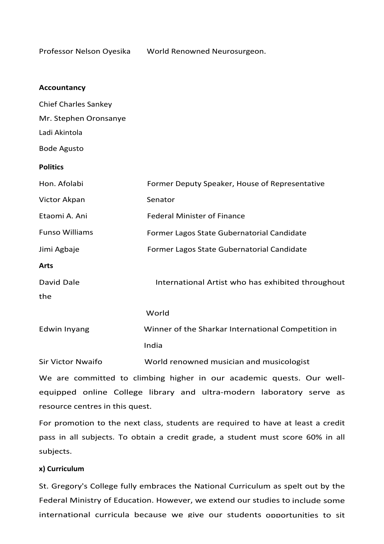Professor Nelson Oyesika World Renowned Neurosurgeon.

| <b>Accountancy</b>          |                                                    |
|-----------------------------|----------------------------------------------------|
| <b>Chief Charles Sankey</b> |                                                    |
| Mr. Stephen Oronsanye       |                                                    |
| Ladi Akintola               |                                                    |
| <b>Bode Agusto</b>          |                                                    |
| <b>Politics</b>             |                                                    |
| Hon. Afolabi                | Former Deputy Speaker, House of Representative     |
| Victor Akpan                | Senator                                            |
| Etaomi A. Ani               | <b>Federal Minister of Finance</b>                 |
| <b>Funso Williams</b>       | Former Lagos State Gubernatorial Candidate         |
| Jimi Agbaje                 | Former Lagos State Gubernatorial Candidate         |
| <b>Arts</b>                 |                                                    |
| David Dale                  | International Artist who has exhibited throughout  |
| the                         |                                                    |
|                             | World                                              |
| Edwin Inyang                | Winner of the Sharkar International Competition in |
|                             | India                                              |
| <b>Sir Victor Nwaifo</b>    | World renowned musician and musicologist           |

We are committed to climbing higher in our academic quests. Our wellequipped online College library and ultra-modern laboratory serve as resource centres in this quest.

For promotion to the next class, students are required to have at least a credit pass in all subjects. To obtain a credit grade, a student must score 60% in all subjects. 

### **x) Curriculum**

St. Gregory's College fully embraces the National Curriculum as spelt out by the Federal Ministry of Education. However, we extend our studies to include some international curricula because we give our students opportunities to sit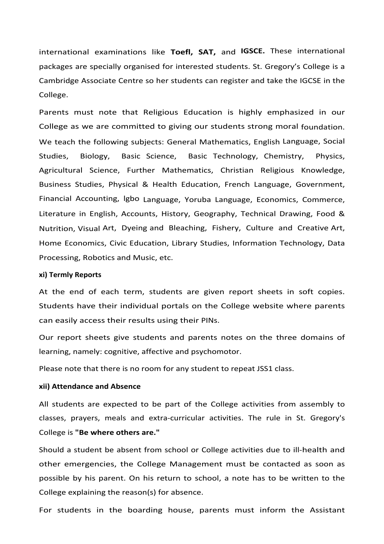international examinations like Toefl, SAT, and IGSCE. These international packages are specially organised for interested students. St. Gregory's College is a Cambridge Associate Centre so her students can register and take the IGCSE in the College.

Parents must note that Religious Education is highly emphasized in our College as we are committed to giving our students strong moral foundation. We teach the following subjects: General Mathematics, English Language, Social Studies, Biology, Basic Science, Basic Technology, Chemistry, Physics, Agricultural Science, Further Mathematics, Christian Religious Knowledge, Business Studies, Physical & Health Education, French Language, Government, Financial Accounting, Igbo Language, Yoruba Language, Economics, Commerce, Literature in English, Accounts, History, Geography, Technical Drawing, Food & Nutrition, Visual Art, Dyeing and Bleaching, Fishery, Culture and Creative Art, Home Economics, Civic Education, Library Studies, Information Technology, Data Processing, Robotics and Music, etc.

#### **xi) Termly Reports**

At the end of each term, students are given report sheets in soft copies. Students have their individual portals on the College website where parents can easily access their results using their PINs.

Our report sheets give students and parents notes on the three domains of learning, namely: cognitive, affective and psychomotor.

Please note that there is no room for any student to repeat JSS1 class.

### **xii) Attendance and Absence**

All students are expected to be part of the College activities from assembly to classes, prayers, meals and extra-curricular activities. The rule in St. Gregory's College is "Be where others are."

Should a student be absent from school or College activities due to ill-health and other emergencies, the College Management must be contacted as soon as possible by his parent. On his return to school, a note has to be written to the College explaining the reason(s) for absence.

For students in the boarding house, parents must inform the Assistant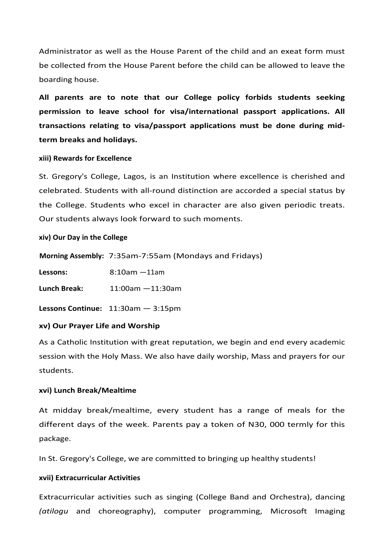Administrator as well as the House Parent of the child and an exeat form must be collected from the House Parent before the child can be allowed to leave the boarding house.

All parents are to note that our College policy forbids students seeking **permission to leave school for visa/international passport applications. All**  transactions relating to visa/passport applications must be done during mid**term breaks and holidays.**

### **xiii) Rewards for Excellence**

St. Gregory's College, Lagos, is an Institution where excellence is cherished and celebrated. Students with all-round distinction are accorded a special status by the College. Students who excel in character are also given periodic treats. Our students always look forward to such moments.

**xiv) Our Day in the College**

|                     | Morning Assembly: 7:35am-7:55am (Mondays and Fridays) |
|---------------------|-------------------------------------------------------|
| Lessons:            | $8:10am - 11am$                                       |
| <b>Lunch Break:</b> | $11:00$ am $-11:30$ am                                |
|                     | Lessons Continue: $11:30am - 3:15pm$                  |

### **xv) Our Prayer Life and Worship**

As a Catholic Institution with great reputation, we begin and end every academic session with the Holy Mass. We also have daily worship, Mass and prayers for our students. 

### **xvi) Lunch Break/Mealtime**

At midday break/mealtime, every student has a range of meals for the different days of the week. Parents pay a token of N30, 000 termly for this package.

In St. Gregory's College, we are committed to bringing up healthy students!

### **xvii) Extracurricular Activities**

Extracurricular activities such as singing (College Band and Orchestra), dancing *(atilogu*  and choreography), computer programming, Microsoft Imaging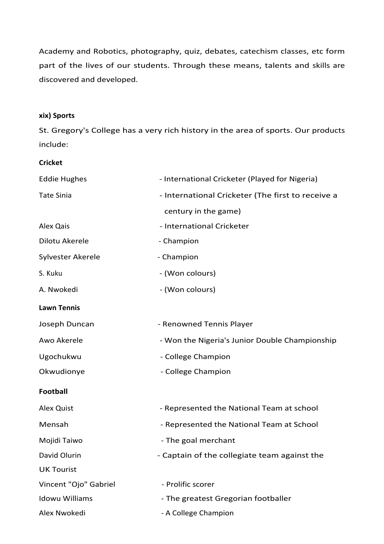Academy and Robotics, photography, quiz, debates, catechism classes, etc form part of the lives of our students. Through these means, talents and skills are discovered and developed.

### **xix) Sports**

St. Gregory's College has a very rich history in the area of sports. Our products include:

**Cricket**

| <b>Eddie Hughes</b>   | - International Cricketer (Played for Nigeria)    |
|-----------------------|---------------------------------------------------|
| <b>Tate Sinia</b>     | - International Cricketer (The first to receive a |
|                       | century in the game)                              |
| Alex Qais             | - International Cricketer                         |
| Dilotu Akerele        | - Champion                                        |
| Sylvester Akerele     | - Champion                                        |
| S. Kuku               | - (Won colours)                                   |
| A. Nwokedi            | - (Won colours)                                   |
| <b>Lawn Tennis</b>    |                                                   |
| Joseph Duncan         | - Renowned Tennis Player                          |
| Awo Akerele           | - Won the Nigeria's Junior Double Championship    |
| Ugochukwu             | - College Champion                                |
| Okwudionye            | - College Champion                                |
| Football              |                                                   |
| Alex Quist            | - Represented the National Team at school         |
| Mensah                | - Represented the National Team at School         |
| Mojidi Taiwo          | - The goal merchant                               |
| David Olurin          | - Captain of the collegiate team against the      |
| <b>UK Tourist</b>     |                                                   |
| Vincent "Ojo" Gabriel | - Prolific scorer                                 |
| <b>Idowu Williams</b> | - The greatest Gregorian footballer               |
| Alex Nwokedi          | - A College Champion                              |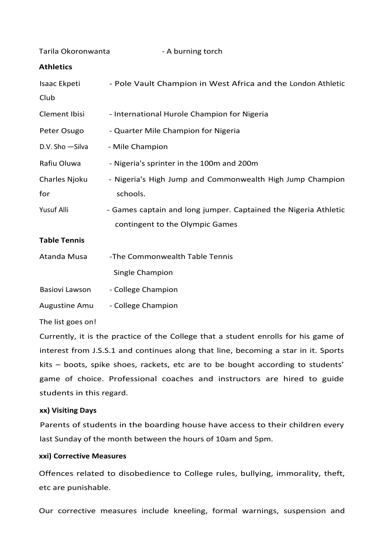| Tarila Okoronwanta                                                                              | - A burning torch                                               |  |
|-------------------------------------------------------------------------------------------------|-----------------------------------------------------------------|--|
| <b>Athletics</b>                                                                                |                                                                 |  |
| Isaac Ekpeti                                                                                    | - Pole Vault Champion in West Africa and the London Athletic    |  |
| Club                                                                                            |                                                                 |  |
| <b>Clement Ibisi</b>                                                                            | - International Hurole Champion for Nigeria                     |  |
| Peter Osugo                                                                                     | - Quarter Mile Champion for Nigeria                             |  |
| D.V. Sho - Silva                                                                                | - Mile Champion                                                 |  |
| Rafiu Oluwa                                                                                     | - Nigeria's sprinter in the 100m and 200m                       |  |
| Charles Njoku                                                                                   | - Nigeria's High Jump and Commonwealth High Jump Champion       |  |
| for                                                                                             | schools.                                                        |  |
| Yusuf Alli                                                                                      | - Games captain and long jumper. Captained the Nigeria Athletic |  |
|                                                                                                 | contingent to the Olympic Games                                 |  |
| <b>Table Tennis</b>                                                                             |                                                                 |  |
| Atanda Musa                                                                                     | -The Commonwealth Table Tennis                                  |  |
|                                                                                                 | Single Champion                                                 |  |
| Basiovi Lawson                                                                                  | - College Champion                                              |  |
| <b>Augustine Amu</b>                                                                            | - College Champion                                              |  |
| The list goes on!                                                                               |                                                                 |  |
| Comparable to the dealers and the Calledge dealers and dealers and a family from the comparable |                                                                 |  |

Currently, it is the practice of the College that a student enrolls for his game of interest from J.S.S.1 and continues along that line, becoming a star in it. Sports  $kits$  – boots, spike shoes, rackets, etc are to be bought according to students' game of choice. Professional coaches and instructors are hired to guide students in this regard.

# **xx) Visiting Days**

Parents of students in the boarding house have access to their children every last Sunday of the month between the hours of 10am and 5pm.

# **xxi) Corrective Measures**

Offences related to disobedience to College rules, bullying, immorality, theft, etc are punishable.

Our corrective measures include kneeling, formal warnings, suspension and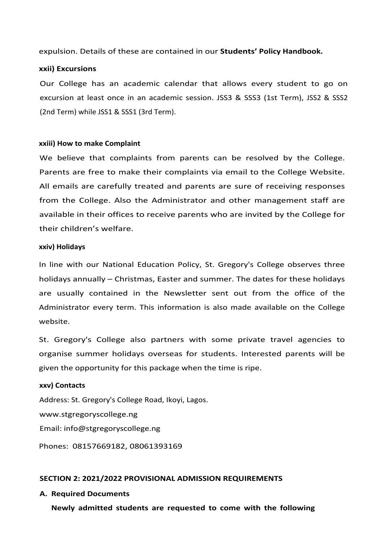expulsion. Details of these are contained in our **Students' Policy Handbook.** 

### **xxii) Excursions**

Our College has an academic calendar that allows every student to go on excursion at least once in an academic session. JSS3 & SSS3 (1st Term), JSS2 & SSS2 (2nd Term) while JSS1 & SSS1 (3rd Term).

### **xxiii) How to make Complaint**

We believe that complaints from parents can be resolved by the College. Parents are free to make their complaints via email to the College Website. All emails are carefully treated and parents are sure of receiving responses from the College. Also the Administrator and other management staff are available in their offices to receive parents who are invited by the College for their children's welfare.

### **xxiv) Holidays**

In line with our National Education Policy, St. Gregory's College observes three holidays annually – Christmas, Easter and summer. The dates for these holidays are usually contained in the Newsletter sent out from the office of the Administrator every term. This information is also made available on the College website.

St. Gregory's College also partners with some private travel agencies to organise summer holidays overseas for students. Interested parents will be given the opportunity for this package when the time is ripe.

### **xxv) Contacts**

Address: St. Gregory's College Road, Ikoyi, Lagos. www.stgregoryscollege.ng Email: info@stgregoryscollege.ng Phones: 08157669182, 08061393169

# **SECTION 2: 2021/2022 PROVISIONAL ADMISSION REQUIREMENTS**

### **A. Required Documents**

**Newly admitted students are requested to come with the following**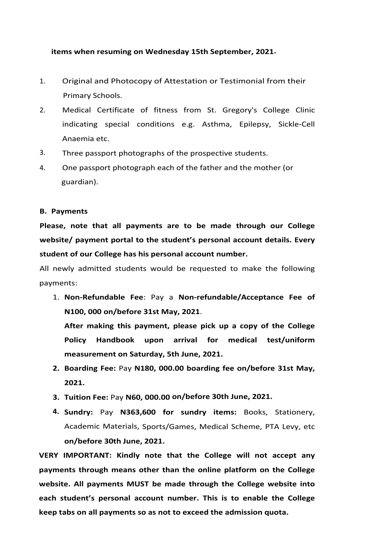### **items when resuming on Wednesday 15th September, 2021.**

- 1. Original and Photocopy of Attestation or Testimonial from their Primary Schools.
- 2. Medical Certificate of fitness from St. Gregory's College Clinic indicating special conditions e.g. Asthma, Epilepsy, Sickle-Cell Anaemia etc.
- 3. Three passport photographs of the prospective students.
- 4. One passport photograph each of the father and the mother (or guardian).

### **B. Payments**

Please, note that all payments are to be made through our College **website/** payment portal to the student's personal account details. Every student of our College has his personal account number.

All newly admitted students would be requested to make the following payments:

1. **Non-Refundable Fee**: Pay a **Non-refundable/Acceptance Fee of N100, 000 on/before 31st May, 2021**.

After making this payment, please pick up a copy of the College Policy Handbook upon arrival for medical test/uniform measurement on Saturday, 5th June, 2021.

- 2. Boarding Fee: Pay N180, 000.00 boarding fee on/before 31st May, **2021.**
- **3. Tuition Fee:** Pay **N60, 000.00 on/before 30th June, 2021.**
- **4. Sundry:** Pay **N363,600 for sundry items:** Books, Stationery, Academic Materials, Sports/Games, Medical Scheme, PTA Levy, etc **on/before 30th June, 2021.**

**VERY IMPORTANT: Kindly note that the College will not accept any** payments through means other than the online platform on the College website. All payments MUST be made through the College website into each student's personal account number. This is to enable the College **keep tabs on all payments so as not to exceed the admission quota.**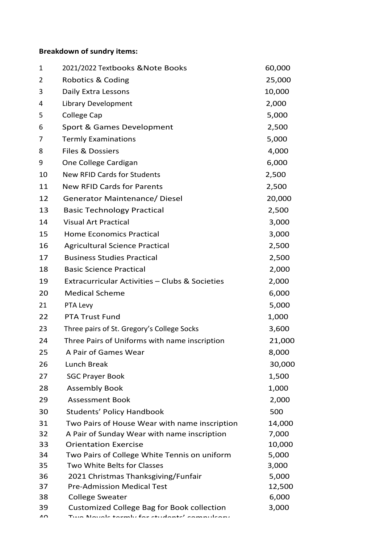# **Breakdown of sundry items:**

| $\mathbf{1}$   | 2021/2022 Textbooks & Note Books                                     | 60,000         |
|----------------|----------------------------------------------------------------------|----------------|
| $\overline{2}$ | Robotics & Coding                                                    | 25,000         |
| 3              | Daily Extra Lessons                                                  | 10,000         |
| 4              | Library Development                                                  | 2,000          |
| 5              | College Cap                                                          | 5,000          |
| 6              | Sport & Games Development                                            | 2,500          |
| 7              | <b>Termly Examinations</b>                                           | 5,000          |
| 8              | <b>Files &amp; Dossiers</b>                                          | 4,000          |
| 9              | One College Cardigan                                                 | 6,000          |
| 10             | <b>New RFID Cards for Students</b>                                   | 2,500          |
| 11             | <b>New RFID Cards for Parents</b>                                    | 2,500          |
| 12             | <b>Generator Maintenance/ Diesel</b>                                 | 20,000         |
| 13             | <b>Basic Technology Practical</b>                                    | 2,500          |
| 14             | <b>Visual Art Practical</b>                                          | 3,000          |
| 15             | <b>Home Economics Practical</b>                                      | 3,000          |
| 16             | <b>Agricultural Science Practical</b>                                | 2,500          |
| 17             | <b>Business Studies Practical</b>                                    | 2,500          |
| 18             | <b>Basic Science Practical</b>                                       | 2,000          |
| 19             | Extracurricular Activities - Clubs & Societies                       | 2,000          |
| 20             | <b>Medical Scheme</b>                                                | 6,000          |
| 21             | PTA Levy                                                             | 5,000          |
| 22             | <b>PTA Trust Fund</b>                                                | 1,000          |
| 23             | Three pairs of St. Gregory's College Socks                           | 3,600          |
| 24             | Three Pairs of Uniforms with name inscription                        | 21,000         |
| 25             | A Pair of Games Wear                                                 | 8,000          |
| 26             | Lunch Break                                                          | 30,000         |
| 27             | <b>SGC Prayer Book</b>                                               | 1,500          |
| 28             | <b>Assembly Book</b>                                                 | 1,000          |
| 29             | <b>Assessment Book</b>                                               | 2,000          |
| 30             | <b>Students' Policy Handbook</b>                                     | 500            |
| 31             | Two Pairs of House Wear with name inscription                        | 14,000         |
| 32             | A Pair of Sunday Wear with name inscription                          | 7,000          |
| 33             | <b>Orientation Exercise</b>                                          | 10,000         |
| 34             | Two Pairs of College White Tennis on uniform                         | 5,000          |
| 35             | Two White Belts for Classes                                          | 3,000          |
| 36             | 2021 Christmas Thanksgiving/Funfair                                  | 5,000          |
| 37             | <b>Pre-Admission Medical Test</b>                                    | 12,500         |
| 38<br>39       | <b>College Sweater</b><br>Customized College Bag for Book collection | 6,000<br>3,000 |
| л∩             | Two Novale tormbi for students' compulsor                            |                |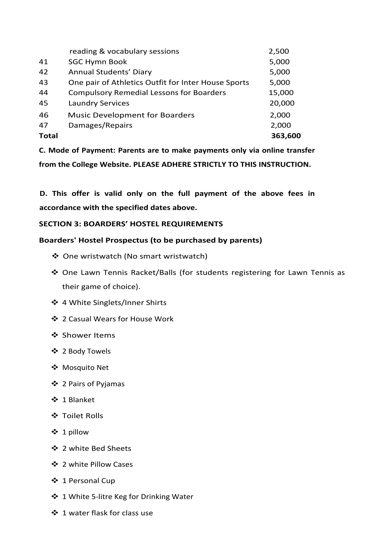| 41<br><b>SGC Hymn Book</b><br>5,000<br>42<br>Annual Students' Diary<br>5,000<br>43<br>One pair of Athletics Outfit for Inter House Sports<br>5,000<br>44<br><b>Compulsory Remedial Lessons for Boarders</b><br>15,000<br>45<br>20,000<br><b>Laundry Services</b><br>46<br><b>Music Development for Boarders</b><br>2,000<br>Damages/Repairs<br>47<br>2,000<br>363,600<br><b>Total</b> | reading & vocabulary sessions | 2,500 |
|---------------------------------------------------------------------------------------------------------------------------------------------------------------------------------------------------------------------------------------------------------------------------------------------------------------------------------------------------------------------------------------|-------------------------------|-------|
|                                                                                                                                                                                                                                                                                                                                                                                       |                               |       |
|                                                                                                                                                                                                                                                                                                                                                                                       |                               |       |
|                                                                                                                                                                                                                                                                                                                                                                                       |                               |       |
|                                                                                                                                                                                                                                                                                                                                                                                       |                               |       |
|                                                                                                                                                                                                                                                                                                                                                                                       |                               |       |
|                                                                                                                                                                                                                                                                                                                                                                                       |                               |       |
|                                                                                                                                                                                                                                                                                                                                                                                       |                               |       |
|                                                                                                                                                                                                                                                                                                                                                                                       |                               |       |

**C. Mode of Payment: Parents are to make payments only via online transfer**  from the College Website. PLEASE ADHERE STRICTLY TO THIS INSTRUCTION.

D. This offer is valid only on the full payment of the above fees in **accordance with the specified dates above.**

# **SECTION 3: BOARDERS' HOSTEL REQUIREMENTS**

# **Boarders' Hostel Prospectus (to be purchased by parents)**

- ❖ One wristwatch (No smart wristwatch)
- ◆ One Lawn Tennis Racket/Balls (for students registering for Lawn Tennis as their game of choice).
- ❖ 4 White Singlets/Inner Shirts
- ❖ 2 Casual Wears for House Work
- ❖ Shower Items
- ❖ 2 Body Towels
- ❖ Mosquito Net
- ❖ 2 Pairs of Pyjamas
- v 1 Blanket
- ❖ Toilet Rolls
- $\div$  1 pillow
- ❖ 2 white Bed Sheets
- ❖ 2 white Pillow Cases
- ❖ 1 Personal Cup
- ❖ 1 White 5-litre Keg for Drinking Water
- ❖ 1 water flask for class use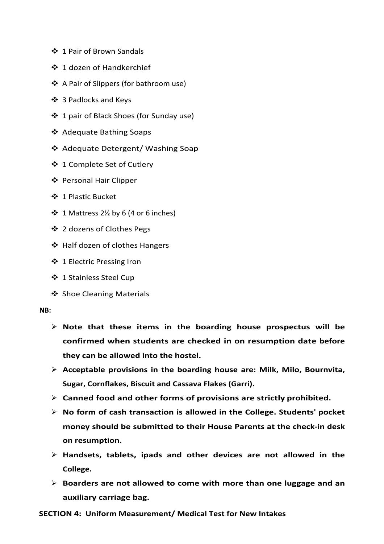- ❖ 1 Pair of Brown Sandals
- ❖ 1 dozen of Handkerchief
- ❖ A Pair of Slippers (for bathroom use)
- ❖ 3 Padlocks and Keys
- ❖ 1 pair of Black Shoes (for Sunday use)
- ❖ Adequate Bathing Soaps
- ❖ Adequate Detergent/ Washing Soap
- ❖ 1 Complete Set of Cutlery
- ❖ Personal Hair Clipper
- v 1 Plastic Bucket
- $\div$  1 Mattress 2½ by 6 (4 or 6 inches)
- ❖ 2 dozens of Clothes Pegs
- ❖ Half dozen of clothes Hangers
- ❖ 1 Electric Pressing Iron
- ❖ 1 Stainless Steel Cup
- ❖ Shoe Cleaning Materials

### **NB:**

- $\triangleright$  Note that these items in the boarding house prospectus will be **confirmed when students are checked in on resumption date before they can be allowed into the hostel.**
- $\triangleright$  Acceptable provisions in the boarding house are: Milk, Milo, Bournvita, **Sugar, Cornflakes, Biscuit and Cassava Flakes (Garri).**
- $\triangleright$  Canned food and other forms of provisions are strictly prohibited.
- Ø **No form of cash transaction is allowed in the College. Students' pocket**  money should be submitted to their House Parents at the check-in desk **on resumption.**
- Ø **Handsets, tablets, ipads and other devices are not allowed in the College.**
- $\triangleright$  Boarders are not allowed to come with more than one luggage and an **auxiliary carriage bag.**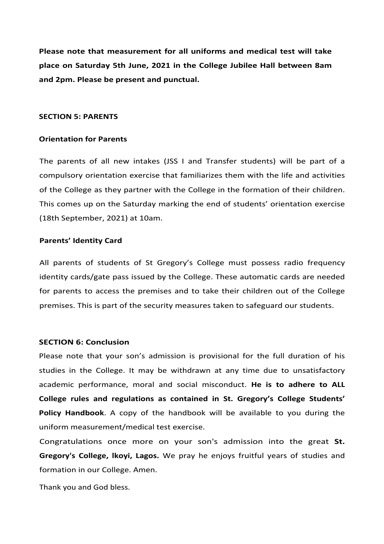**Please note that measurement for all uniforms and medical test will take** place on Saturday 5th June, 2021 in the College Jubilee Hall between 8am and 2pm. Please be present and punctual.

### **SECTION 5: PARENTS**

### **Orientation for Parents**

The parents of all new intakes (JSS I and Transfer students) will be part of a compulsory orientation exercise that familiarizes them with the life and activities of the College as they partner with the College in the formation of their children. This comes up on the Saturday marking the end of students' orientation exercise (18th September, 2021) at 10am.

### **Parents' Identity Card**

All parents of students of St Gregory's College must possess radio frequency identity cards/gate pass issued by the College. These automatic cards are needed for parents to access the premises and to take their children out of the College premises. This is part of the security measures taken to safeguard our students.

### **SECTION 6: Conclusion**

Please note that your son's admission is provisional for the full duration of his studies in the College. It may be withdrawn at any time due to unsatisfactory academic performance, moral and social misconduct. He is to adhere to ALL College rules and regulations as contained in St. Gregory's College Students' **Policy Handbook**. A copy of the handbook will be available to you during the uniform measurement/medical test exercise.

Congratulations once more on your son's admission into the great St. **Gregory's College, Ikoyi, Lagos.** We pray he enjoys fruitful years of studies and formation in our College. Amen.

Thank you and God bless.